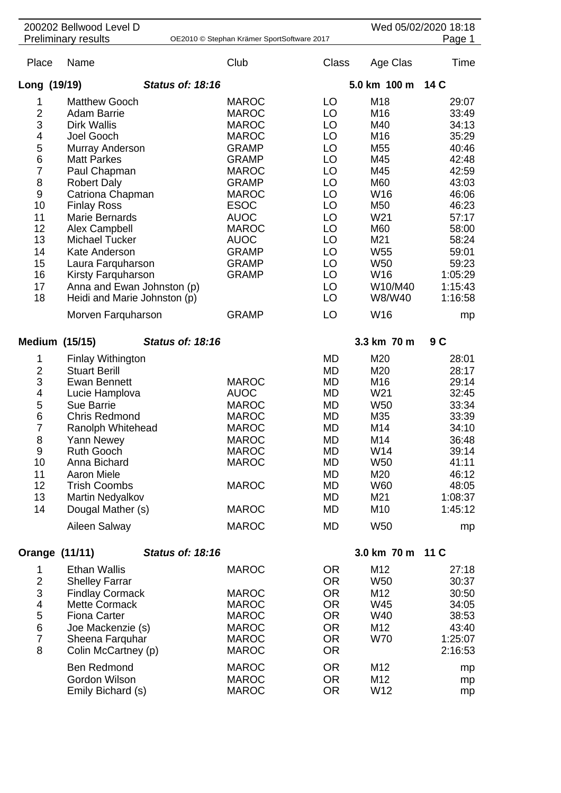| 200202 Bellwood Level D<br><b>Preliminary results</b><br>OE2010 © Stephan Krämer SportSoftware 2017                    |                                                                                                                                                                                                                                                                                                                |                         |                                                                                                                                                                                                                                           |                                                                                                                                             |                                                                                                                                      | Wed 05/02/2020 18:18<br>Page 1                                                                                                       |  |
|------------------------------------------------------------------------------------------------------------------------|----------------------------------------------------------------------------------------------------------------------------------------------------------------------------------------------------------------------------------------------------------------------------------------------------------------|-------------------------|-------------------------------------------------------------------------------------------------------------------------------------------------------------------------------------------------------------------------------------------|---------------------------------------------------------------------------------------------------------------------------------------------|--------------------------------------------------------------------------------------------------------------------------------------|--------------------------------------------------------------------------------------------------------------------------------------|--|
| Place                                                                                                                  | Name                                                                                                                                                                                                                                                                                                           |                         | Club                                                                                                                                                                                                                                      | <b>Class</b>                                                                                                                                | Age Clas                                                                                                                             | Time                                                                                                                                 |  |
| Long (19/19)                                                                                                           |                                                                                                                                                                                                                                                                                                                | <b>Status of: 18:16</b> |                                                                                                                                                                                                                                           |                                                                                                                                             | 5.0 km 100 m                                                                                                                         | 14 C                                                                                                                                 |  |
| 1<br>$\overline{2}$<br>3<br>4<br>5<br>6<br>$\overline{7}$<br>8<br>$\boldsymbol{9}$<br>10<br>11<br>12<br>13<br>14<br>15 | <b>Matthew Gooch</b><br><b>Adam Barrie</b><br><b>Dirk Wallis</b><br>Joel Gooch<br>Murray Anderson<br><b>Matt Parkes</b><br>Paul Chapman<br><b>Robert Daly</b><br>Catriona Chapman<br><b>Finlay Ross</b><br>Marie Bernards<br>Alex Campbell<br><b>Michael Tucker</b><br>Kate Anderson<br>Laura Farquharson      |                         | <b>MAROC</b><br><b>MAROC</b><br><b>MAROC</b><br><b>MAROC</b><br><b>GRAMP</b><br><b>GRAMP</b><br><b>MAROC</b><br><b>GRAMP</b><br><b>MAROC</b><br><b>ESOC</b><br><b>AUOC</b><br><b>MAROC</b><br><b>AUOC</b><br><b>GRAMP</b><br><b>GRAMP</b> | LO<br>LO<br>LO<br>LO<br>LO<br>LO<br>LO<br>LO<br>LO<br>LO<br>LO<br>LO<br>LO<br>LO<br>LO                                                      | M18<br>M <sub>16</sub><br>M40<br>M16<br>M55<br>M45<br>M45<br>M60<br>W16<br>M50<br>W21<br>M60<br>M21<br>W <sub>55</sub><br><b>W50</b> | 29:07<br>33:49<br>34:13<br>35:29<br>40:46<br>42:48<br>42:59<br>43:03<br>46:06<br>46:23<br>57:17<br>58:00<br>58:24<br>59:01<br>59:23  |  |
| 16<br>17<br>18                                                                                                         | Kirsty Farquharson<br>Anna and Ewan Johnston (p)<br>Heidi and Marie Johnston (p)<br>Morven Farquharson                                                                                                                                                                                                         |                         | <b>GRAMP</b><br><b>GRAMP</b>                                                                                                                                                                                                              | LO<br>LO<br>LO<br>LO                                                                                                                        | W16<br>W10/M40<br>W8/W40<br>W16                                                                                                      | 1:05:29<br>1:15:43<br>1:16:58<br>mp                                                                                                  |  |
| Medium (15/15)                                                                                                         |                                                                                                                                                                                                                                                                                                                | <b>Status of: 18:16</b> |                                                                                                                                                                                                                                           |                                                                                                                                             | 3.3 km 70 m                                                                                                                          | 9C                                                                                                                                   |  |
| 1<br>$\overline{c}$<br>3<br>4<br>5<br>6<br>$\overline{7}$<br>8<br>9<br>10<br>11<br>12<br>13<br>14                      | <b>Finlay Withington</b><br><b>Stuart Berill</b><br><b>Ewan Bennett</b><br>Lucie Hamplova<br>Sue Barrie<br><b>Chris Redmond</b><br>Ranolph Whitehead<br>Yann Newey<br><b>Ruth Gooch</b><br>Anna Bichard<br><b>Aaron Miele</b><br><b>Trish Coombs</b><br>Martin Nedyalkov<br>Dougal Mather (s)<br>Aileen Salway |                         | <b>MAROC</b><br><b>AUOC</b><br><b>MAROC</b><br><b>MAROC</b><br><b>MAROC</b><br><b>MAROC</b><br><b>MAROC</b><br><b>MAROC</b><br><b>MAROC</b><br><b>MAROC</b><br><b>MAROC</b>                                                               | MD<br>MD<br>MD<br>MD<br>MD<br>MD<br>MD<br>MD<br>MD<br><b>MD</b><br>MD<br>MD<br>MD<br><b>MD</b><br><b>MD</b>                                 | M20<br>M20<br>M16<br>W21<br><b>W50</b><br>M35<br>M14<br>M14<br>W14<br><b>W50</b><br>M20<br>W60<br>M21<br>M10<br><b>W50</b>           | 28:01<br>28:17<br>29:14<br>32:45<br>33:34<br>33:39<br>34:10<br>36:48<br>39:14<br>41:11<br>46:12<br>48:05<br>1:08:37<br>1:45:12<br>mp |  |
| Orange (11/11)                                                                                                         |                                                                                                                                                                                                                                                                                                                | <b>Status of: 18:16</b> |                                                                                                                                                                                                                                           |                                                                                                                                             | 3.0 km 70 m 11 C                                                                                                                     |                                                                                                                                      |  |
| 1<br>$\overline{2}$<br>3<br>4<br>5<br>6<br>$\overline{7}$<br>8                                                         | <b>Ethan Wallis</b><br><b>Shelley Farrar</b><br><b>Findlay Cormack</b><br><b>Mette Cormack</b><br><b>Fiona Carter</b><br>Joe Mackenzie (s)<br>Sheena Farquhar<br>Colin McCartney (p)<br><b>Ben Redmond</b><br>Gordon Wilson<br>Emily Bichard (s)                                                               |                         | <b>MAROC</b><br><b>MAROC</b><br><b>MAROC</b><br><b>MAROC</b><br><b>MAROC</b><br><b>MAROC</b><br><b>MAROC</b><br><b>MAROC</b><br><b>MAROC</b><br><b>MAROC</b>                                                                              | <b>OR</b><br><b>OR</b><br><b>OR</b><br><b>OR</b><br><b>OR</b><br><b>OR</b><br><b>OR</b><br><b>OR</b><br><b>OR</b><br><b>OR</b><br><b>OR</b> | M12<br>W50<br>M12<br>W45<br>W40<br>M12<br><b>W70</b><br>M12<br>M12<br>W12                                                            | 27:18<br>30:37<br>30:50<br>34:05<br>38:53<br>43:40<br>1:25:07<br>2:16:53<br>mp<br>mp<br>mp                                           |  |